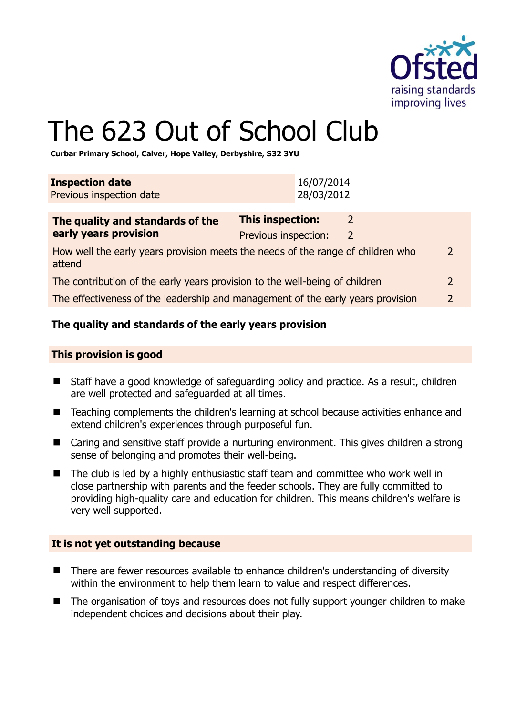

# The 623 Out of School Club

**Curbar Primary School, Calver, Hope Valley, Derbyshire, S32 3YU** 

| <b>Inspection date</b><br>Previous inspection date                                                         |                                                 | 16/07/2014<br>28/03/2012 |        |               |
|------------------------------------------------------------------------------------------------------------|-------------------------------------------------|--------------------------|--------|---------------|
| The quality and standards of the<br>early years provision                                                  | <b>This inspection:</b><br>Previous inspection: |                          | 2<br>2 |               |
| How well the early years provision meets the needs of the range of children who<br>$\mathcal{P}$<br>attend |                                                 |                          |        |               |
| The contribution of the early years provision to the well-being of children                                |                                                 |                          |        | 2             |
| The effectiveness of the leadership and management of the early years provision                            |                                                 |                          |        | $\mathcal{P}$ |
|                                                                                                            |                                                 |                          |        |               |

# **The quality and standards of the early years provision**

#### **This provision is good**

- Staff have a good knowledge of safeguarding policy and practice. As a result, children are well protected and safeguarded at all times.
- Teaching complements the children's learning at school because activities enhance and extend children's experiences through purposeful fun.
- Caring and sensitive staff provide a nurturing environment. This gives children a strong sense of belonging and promotes their well-being.
- $\blacksquare$  The club is led by a highly enthusiastic staff team and committee who work well in close partnership with parents and the feeder schools. They are fully committed to providing high-quality care and education for children. This means children's welfare is very well supported.

#### **It is not yet outstanding because**

- There are fewer resources available to enhance children's understanding of diversity within the environment to help them learn to value and respect differences.
- The organisation of toys and resources does not fully support younger children to make independent choices and decisions about their play.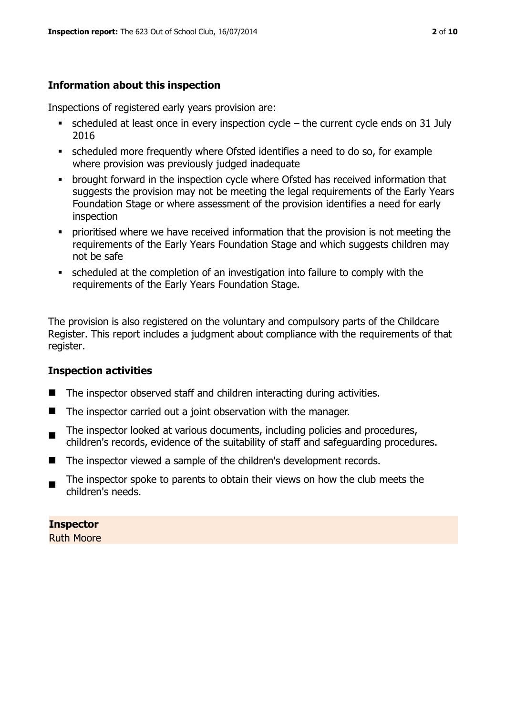# **Information about this inspection**

Inspections of registered early years provision are:

- scheduled at least once in every inspection cycle the current cycle ends on 31 July 2016
- scheduled more frequently where Ofsted identifies a need to do so, for example where provision was previously judged inadequate
- **•** brought forward in the inspection cycle where Ofsted has received information that suggests the provision may not be meeting the legal requirements of the Early Years Foundation Stage or where assessment of the provision identifies a need for early inspection
- **•** prioritised where we have received information that the provision is not meeting the requirements of the Early Years Foundation Stage and which suggests children may not be safe
- scheduled at the completion of an investigation into failure to comply with the requirements of the Early Years Foundation Stage.

The provision is also registered on the voluntary and compulsory parts of the Childcare Register. This report includes a judgment about compliance with the requirements of that register.

# **Inspection activities**

- $\blacksquare$  The inspector observed staff and children interacting during activities.
- $\blacksquare$  The inspector carried out a joint observation with the manager.
- The inspector looked at various documents, including policies and procedures, children's records, evidence of the suitability of staff and safeguarding procedures.
- The inspector viewed a sample of the children's development records.
- $\blacksquare$ The inspector spoke to parents to obtain their views on how the club meets the children's needs.

**Inspector**  Ruth Moore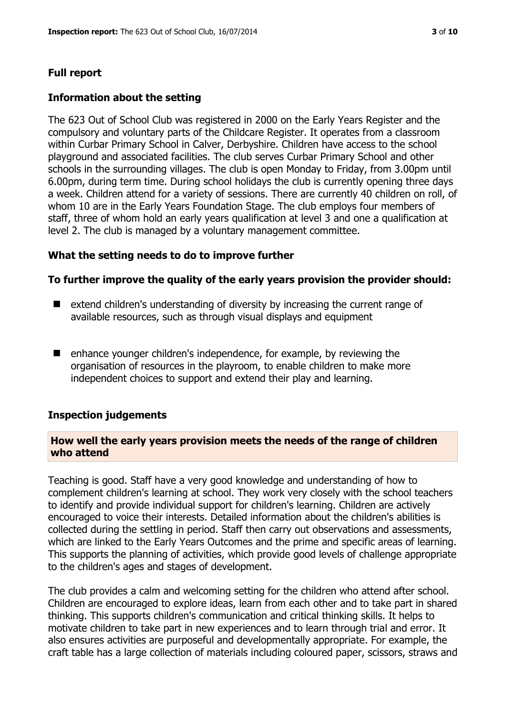# **Full report**

#### **Information about the setting**

The 623 Out of School Club was registered in 2000 on the Early Years Register and the compulsory and voluntary parts of the Childcare Register. It operates from a classroom within Curbar Primary School in Calver, Derbyshire. Children have access to the school playground and associated facilities. The club serves Curbar Primary School and other schools in the surrounding villages. The club is open Monday to Friday, from 3.00pm until 6.00pm, during term time. During school holidays the club is currently opening three days a week. Children attend for a variety of sessions. There are currently 40 children on roll, of whom 10 are in the Early Years Foundation Stage. The club employs four members of staff, three of whom hold an early years qualification at level 3 and one a qualification at level 2. The club is managed by a voluntary management committee.

#### **What the setting needs to do to improve further**

#### **To further improve the quality of the early years provision the provider should:**

- $\blacksquare$  extend children's understanding of diversity by increasing the current range of available resources, such as through visual displays and equipment
- $\blacksquare$  enhance younger children's independence, for example, by reviewing the organisation of resources in the playroom, to enable children to make more independent choices to support and extend their play and learning.

#### **Inspection judgements**

#### **How well the early years provision meets the needs of the range of children who attend**

Teaching is good. Staff have a very good knowledge and understanding of how to complement children's learning at school. They work very closely with the school teachers to identify and provide individual support for children's learning. Children are actively encouraged to voice their interests. Detailed information about the children's abilities is collected during the settling in period. Staff then carry out observations and assessments, which are linked to the Early Years Outcomes and the prime and specific areas of learning. This supports the planning of activities, which provide good levels of challenge appropriate to the children's ages and stages of development.

The club provides a calm and welcoming setting for the children who attend after school. Children are encouraged to explore ideas, learn from each other and to take part in shared thinking. This supports children's communication and critical thinking skills. It helps to motivate children to take part in new experiences and to learn through trial and error. It also ensures activities are purposeful and developmentally appropriate. For example, the craft table has a large collection of materials including coloured paper, scissors, straws and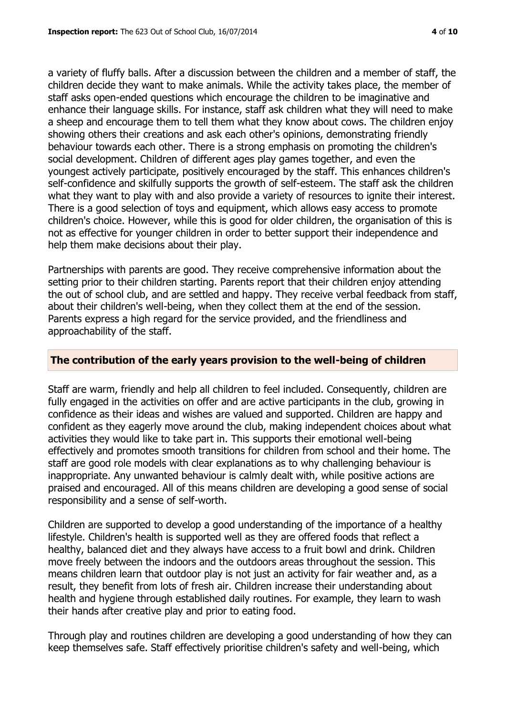a variety of fluffy balls. After a discussion between the children and a member of staff, the children decide they want to make animals. While the activity takes place, the member of staff asks open-ended questions which encourage the children to be imaginative and enhance their language skills. For instance, staff ask children what they will need to make a sheep and encourage them to tell them what they know about cows. The children enjoy showing others their creations and ask each other's opinions, demonstrating friendly behaviour towards each other. There is a strong emphasis on promoting the children's social development. Children of different ages play games together, and even the youngest actively participate, positively encouraged by the staff. This enhances children's self-confidence and skilfully supports the growth of self-esteem. The staff ask the children what they want to play with and also provide a variety of resources to ignite their interest. There is a good selection of toys and equipment, which allows easy access to promote children's choice. However, while this is good for older children, the organisation of this is not as effective for younger children in order to better support their independence and help them make decisions about their play.

Partnerships with parents are good. They receive comprehensive information about the setting prior to their children starting. Parents report that their children enjoy attending the out of school club, and are settled and happy. They receive verbal feedback from staff, about their children's well-being, when they collect them at the end of the session. Parents express a high regard for the service provided, and the friendliness and approachability of the staff.

# **The contribution of the early years provision to the well-being of children**

Staff are warm, friendly and help all children to feel included. Consequently, children are fully engaged in the activities on offer and are active participants in the club, growing in confidence as their ideas and wishes are valued and supported. Children are happy and confident as they eagerly move around the club, making independent choices about what activities they would like to take part in. This supports their emotional well-being effectively and promotes smooth transitions for children from school and their home. The staff are good role models with clear explanations as to why challenging behaviour is inappropriate. Any unwanted behaviour is calmly dealt with, while positive actions are praised and encouraged. All of this means children are developing a good sense of social responsibility and a sense of self-worth.

Children are supported to develop a good understanding of the importance of a healthy lifestyle. Children's health is supported well as they are offered foods that reflect a healthy, balanced diet and they always have access to a fruit bowl and drink. Children move freely between the indoors and the outdoors areas throughout the session. This means children learn that outdoor play is not just an activity for fair weather and, as a result, they benefit from lots of fresh air. Children increase their understanding about health and hygiene through established daily routines. For example, they learn to wash their hands after creative play and prior to eating food.

Through play and routines children are developing a good understanding of how they can keep themselves safe. Staff effectively prioritise children's safety and well-being, which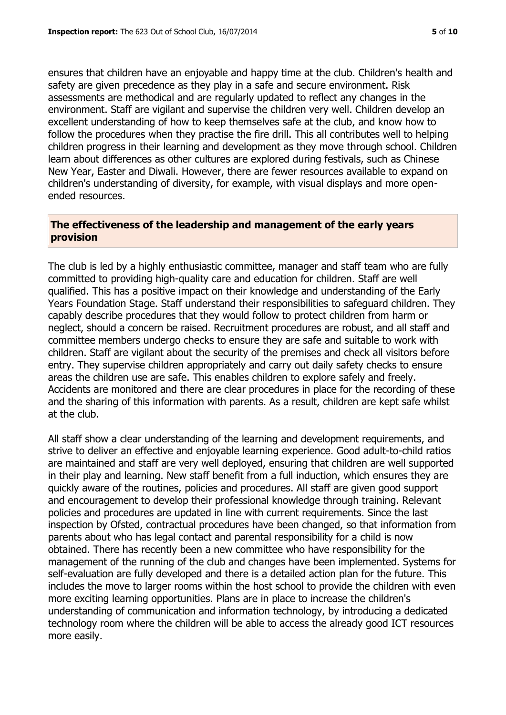ensures that children have an enjoyable and happy time at the club. Children's health and safety are given precedence as they play in a safe and secure environment. Risk assessments are methodical and are regularly updated to reflect any changes in the environment. Staff are vigilant and supervise the children very well. Children develop an excellent understanding of how to keep themselves safe at the club, and know how to follow the procedures when they practise the fire drill. This all contributes well to helping children progress in their learning and development as they move through school. Children learn about differences as other cultures are explored during festivals, such as Chinese New Year, Easter and Diwali. However, there are fewer resources available to expand on children's understanding of diversity, for example, with visual displays and more openended resources.

# **The effectiveness of the leadership and management of the early years provision**

The club is led by a highly enthusiastic committee, manager and staff team who are fully committed to providing high-quality care and education for children. Staff are well qualified. This has a positive impact on their knowledge and understanding of the Early Years Foundation Stage. Staff understand their responsibilities to safeguard children. They capably describe procedures that they would follow to protect children from harm or neglect, should a concern be raised. Recruitment procedures are robust, and all staff and committee members undergo checks to ensure they are safe and suitable to work with children. Staff are vigilant about the security of the premises and check all visitors before entry. They supervise children appropriately and carry out daily safety checks to ensure areas the children use are safe. This enables children to explore safely and freely. Accidents are monitored and there are clear procedures in place for the recording of these and the sharing of this information with parents. As a result, children are kept safe whilst at the club.

All staff show a clear understanding of the learning and development requirements, and strive to deliver an effective and enjoyable learning experience. Good adult-to-child ratios are maintained and staff are very well deployed, ensuring that children are well supported in their play and learning. New staff benefit from a full induction, which ensures they are quickly aware of the routines, policies and procedures. All staff are given good support and encouragement to develop their professional knowledge through training. Relevant policies and procedures are updated in line with current requirements. Since the last inspection by Ofsted, contractual procedures have been changed, so that information from parents about who has legal contact and parental responsibility for a child is now obtained. There has recently been a new committee who have responsibility for the management of the running of the club and changes have been implemented. Systems for self-evaluation are fully developed and there is a detailed action plan for the future. This includes the move to larger rooms within the host school to provide the children with even more exciting learning opportunities. Plans are in place to increase the children's understanding of communication and information technology, by introducing a dedicated technology room where the children will be able to access the already good ICT resources more easily.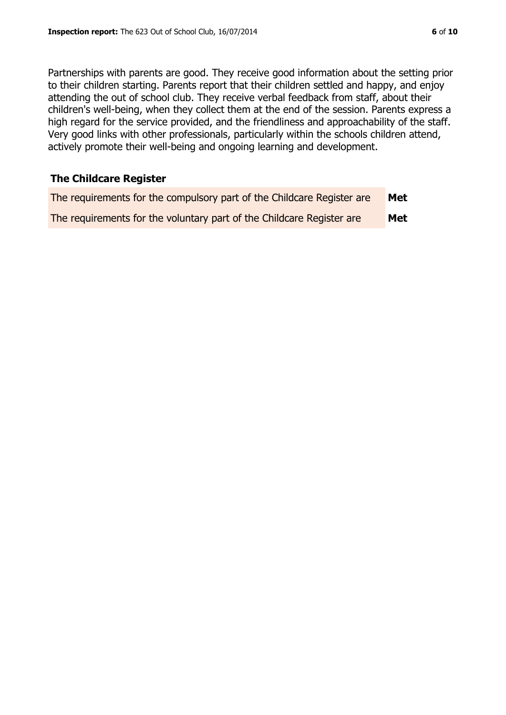Partnerships with parents are good. They receive good information about the setting prior to their children starting. Parents report that their children settled and happy, and enjoy attending the out of school club. They receive verbal feedback from staff, about their children's well-being, when they collect them at the end of the session. Parents express a high regard for the service provided, and the friendliness and approachability of the staff. Very good links with other professionals, particularly within the schools children attend,

actively promote their well-being and ongoing learning and development.

# **The Childcare Register**

| The requirements for the compulsory part of the Childcare Register are | Met        |
|------------------------------------------------------------------------|------------|
| The requirements for the voluntary part of the Childcare Register are  | <b>Met</b> |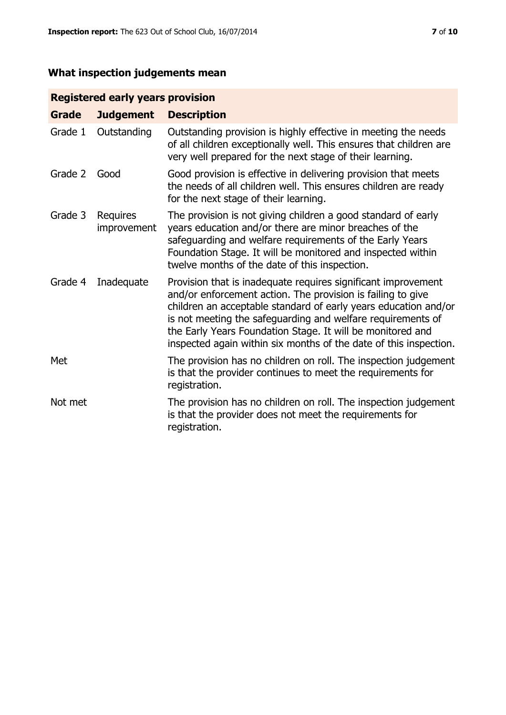# **What inspection judgements mean**

# **Registered early years provision**

| <b>Grade</b> | <b>Judgement</b>        | <b>Description</b>                                                                                                                                                                                                                                                                                                                                                                                |
|--------------|-------------------------|---------------------------------------------------------------------------------------------------------------------------------------------------------------------------------------------------------------------------------------------------------------------------------------------------------------------------------------------------------------------------------------------------|
| Grade 1      | Outstanding             | Outstanding provision is highly effective in meeting the needs<br>of all children exceptionally well. This ensures that children are<br>very well prepared for the next stage of their learning.                                                                                                                                                                                                  |
| Grade 2      | Good                    | Good provision is effective in delivering provision that meets<br>the needs of all children well. This ensures children are ready<br>for the next stage of their learning.                                                                                                                                                                                                                        |
| Grade 3      | Requires<br>improvement | The provision is not giving children a good standard of early<br>years education and/or there are minor breaches of the<br>safeguarding and welfare requirements of the Early Years<br>Foundation Stage. It will be monitored and inspected within<br>twelve months of the date of this inspection.                                                                                               |
| Grade 4      | Inadequate              | Provision that is inadequate requires significant improvement<br>and/or enforcement action. The provision is failing to give<br>children an acceptable standard of early years education and/or<br>is not meeting the safeguarding and welfare requirements of<br>the Early Years Foundation Stage. It will be monitored and<br>inspected again within six months of the date of this inspection. |
| Met          |                         | The provision has no children on roll. The inspection judgement<br>is that the provider continues to meet the requirements for<br>registration.                                                                                                                                                                                                                                                   |
| Not met      |                         | The provision has no children on roll. The inspection judgement<br>is that the provider does not meet the requirements for<br>registration.                                                                                                                                                                                                                                                       |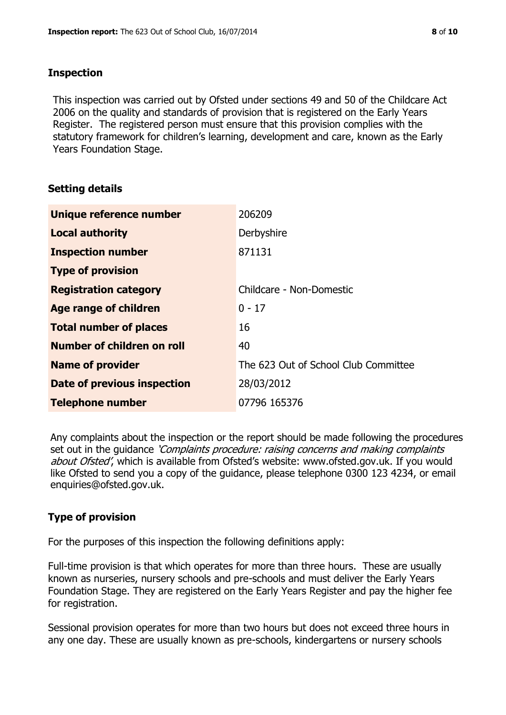#### **Inspection**

This inspection was carried out by Ofsted under sections 49 and 50 of the Childcare Act 2006 on the quality and standards of provision that is registered on the Early Years Register. The registered person must ensure that this provision complies with the statutory framework for children's learning, development and care, known as the Early Years Foundation Stage.

# **Setting details**

| Unique reference number       | 206209                               |
|-------------------------------|--------------------------------------|
| <b>Local authority</b>        | Derbyshire                           |
| <b>Inspection number</b>      | 871131                               |
| <b>Type of provision</b>      |                                      |
| <b>Registration category</b>  | Childcare - Non-Domestic             |
| <b>Age range of children</b>  | $0 - 17$                             |
| <b>Total number of places</b> | 16                                   |
| Number of children on roll    | 40                                   |
| <b>Name of provider</b>       | The 623 Out of School Club Committee |
| Date of previous inspection   | 28/03/2012                           |
| <b>Telephone number</b>       | 07796 165376                         |

Any complaints about the inspection or the report should be made following the procedures set out in the guidance *'Complaints procedure: raising concerns and making complaints* about Ofsted', which is available from Ofsted's website: www.ofsted.gov.uk. If you would like Ofsted to send you a copy of the guidance, please telephone 0300 123 4234, or email enquiries@ofsted.gov.uk.

# **Type of provision**

For the purposes of this inspection the following definitions apply:

Full-time provision is that which operates for more than three hours. These are usually known as nurseries, nursery schools and pre-schools and must deliver the Early Years Foundation Stage. They are registered on the Early Years Register and pay the higher fee for registration.

Sessional provision operates for more than two hours but does not exceed three hours in any one day. These are usually known as pre-schools, kindergartens or nursery schools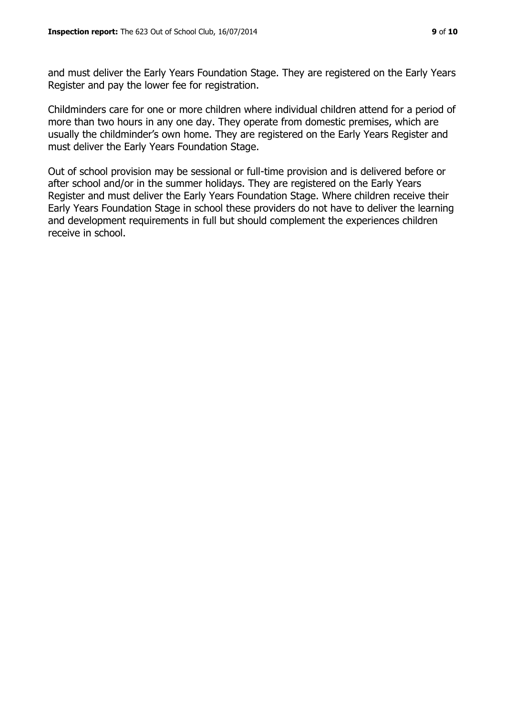and must deliver the Early Years Foundation Stage. They are registered on the Early Years Register and pay the lower fee for registration.

Childminders care for one or more children where individual children attend for a period of more than two hours in any one day. They operate from domestic premises, which are usually the childminder's own home. They are registered on the Early Years Register and must deliver the Early Years Foundation Stage.

Out of school provision may be sessional or full-time provision and is delivered before or after school and/or in the summer holidays. They are registered on the Early Years Register and must deliver the Early Years Foundation Stage. Where children receive their Early Years Foundation Stage in school these providers do not have to deliver the learning and development requirements in full but should complement the experiences children receive in school.